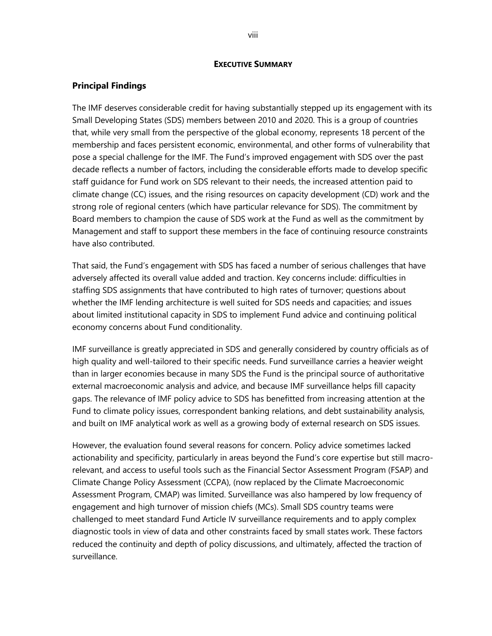#### **EXECUTIVE SUMMARY**

#### **Principal Findings**

The IMF deserves considerable credit for having substantially stepped up its engagement with its Small Developing States (SDS) members between 2010 and 2020. This is a group of countries that, while very small from the perspective of the global economy, represents 18 percent of the membership and faces persistent economic, environmental, and other forms of vulnerability that pose a special challenge for the IMF. The Fund's improved engagement with SDS over the past decade reflects a number of factors, including the considerable efforts made to develop specific staff guidance for Fund work on SDS relevant to their needs, the increased attention paid to climate change (CC) issues, and the rising resources on capacity development (CD) work and the strong role of regional centers (which have particular relevance for SDS). The commitment by Board members to champion the cause of SDS work at the Fund as well as the commitment by Management and staff to support these members in the face of continuing resource constraints have also contributed.

That said, the Fund's engagement with SDS has faced a number of serious challenges that have adversely affected its overall value added and traction. Key concerns include: difficulties in staffing SDS assignments that have contributed to high rates of turnover; questions about whether the IMF lending architecture is well suited for SDS needs and capacities; and issues about limited institutional capacity in SDS to implement Fund advice and continuing political economy concerns about Fund conditionality.

IMF surveillance is greatly appreciated in SDS and generally considered by country officials as of high quality and well-tailored to their specific needs. Fund surveillance carries a heavier weight than in larger economies because in many SDS the Fund is the principal source of authoritative external macroeconomic analysis and advice, and because IMF surveillance helps fill capacity gaps. The relevance of IMF policy advice to SDS has benefitted from increasing attention at the Fund to climate policy issues, correspondent banking relations, and debt sustainability analysis, and built on IMF analytical work as well as a growing body of external research on SDS issues.

However, the evaluation found several reasons for concern. Policy advice sometimes lacked actionability and specificity, particularly in areas beyond the Fund's core expertise but still macrorelevant, and access to useful tools such as the Financial Sector Assessment Program (FSAP) and Climate Change Policy Assessment (CCPA), (now replaced by the Climate Macroeconomic Assessment Program, CMAP) was limited. Surveillance was also hampered by low frequency of engagement and high turnover of mission chiefs (MCs). Small SDS country teams were challenged to meet standard Fund Article IV surveillance requirements and to apply complex diagnostic tools in view of data and other constraints faced by small states work. These factors reduced the continuity and depth of policy discussions, and ultimately, affected the traction of surveillance.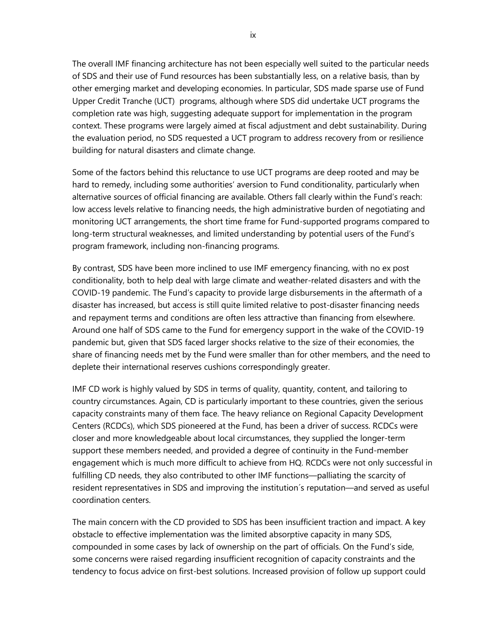The overall IMF financing architecture has not been especially well suited to the particular needs of SDS and their use of Fund resources has been substantially less, on a relative basis, than by other emerging market and developing economies. In particular, SDS made sparse use of Fund Upper Credit Tranche (UCT) programs, although where SDS did undertake UCT programs the completion rate was high, suggesting adequate support for implementation in the program context. These programs were largely aimed at fiscal adjustment and debt sustainability. During the evaluation period, no SDS requested a UCT program to address recovery from or resilience building for natural disasters and climate change.

Some of the factors behind this reluctance to use UCT programs are deep rooted and may be hard to remedy, including some authorities' aversion to Fund conditionality, particularly when alternative sources of official financing are available. Others fall clearly within the Fund's reach: low access levels relative to financing needs, the high administrative burden of negotiating and monitoring UCT arrangements, the short time frame for Fund-supported programs compared to long-term structural weaknesses, and limited understanding by potential users of the Fund's program framework, including non-financing programs.

By contrast, SDS have been more inclined to use IMF emergency financing, with no ex post conditionality, both to help deal with large climate and weather-related disasters and with the COVID-19 pandemic. The Fund's capacity to provide large disbursements in the aftermath of a disaster has increased, but access is still quite limited relative to post-disaster financing needs and repayment terms and conditions are often less attractive than financing from elsewhere. Around one half of SDS came to the Fund for emergency support in the wake of the COVID-19 pandemic but, given that SDS faced larger shocks relative to the size of their economies, the share of financing needs met by the Fund were smaller than for other members, and the need to deplete their international reserves cushions correspondingly greater.

IMF CD work is highly valued by SDS in terms of quality, quantity, content, and tailoring to country circumstances. Again, CD is particularly important to these countries, given the serious capacity constraints many of them face. The heavy reliance on Regional Capacity Development Centers (RCDCs), which SDS pioneered at the Fund, has been a driver of success. RCDCs were closer and more knowledgeable about local circumstances, they supplied the longer-term support these members needed, and provided a degree of continuity in the Fund-member engagement which is much more difficult to achieve from HQ. RCDCs were not only successful in fulfilling CD needs, they also contributed to other IMF functions—palliating the scarcity of resident representatives in SDS and improving the institution´s reputation—and served as useful coordination centers.

The main concern with the CD provided to SDS has been insufficient traction and impact. A key obstacle to effective implementation was the limited absorptive capacity in many SDS, compounded in some cases by lack of ownership on the part of officials. On the Fund's side, some concerns were raised regarding insufficient recognition of capacity constraints and the tendency to focus advice on first-best solutions. Increased provision of follow up support could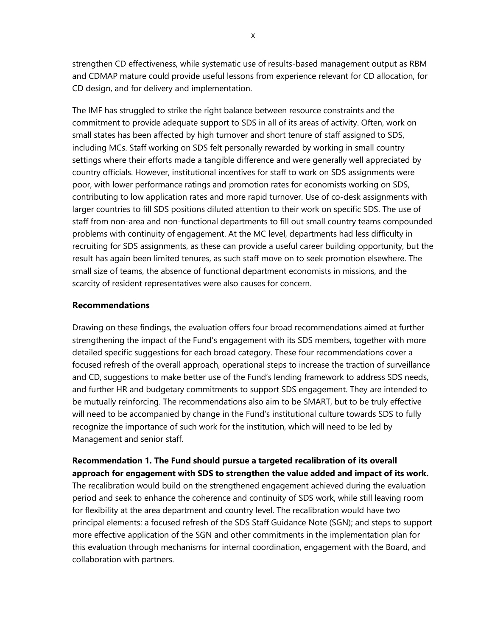strengthen CD effectiveness, while systematic use of results-based management output as RBM and CDMAP mature could provide useful lessons from experience relevant for CD allocation, for CD design, and for delivery and implementation.

The IMF has struggled to strike the right balance between resource constraints and the commitment to provide adequate support to SDS in all of its areas of activity. Often, work on small states has been affected by high turnover and short tenure of staff assigned to SDS, including MCs. Staff working on SDS felt personally rewarded by working in small country settings where their efforts made a tangible difference and were generally well appreciated by country officials. However, institutional incentives for staff to work on SDS assignments were poor, with lower performance ratings and promotion rates for economists working on SDS, contributing to low application rates and more rapid turnover. Use of co-desk assignments with larger countries to fill SDS positions diluted attention to their work on specific SDS. The use of staff from non-area and non-functional departments to fill out small country teams compounded problems with continuity of engagement. At the MC level, departments had less difficulty in recruiting for SDS assignments, as these can provide a useful career building opportunity, but the result has again been limited tenures, as such staff move on to seek promotion elsewhere. The small size of teams, the absence of functional department economists in missions, and the scarcity of resident representatives were also causes for concern.

## **Recommendations**

Drawing on these findings, the evaluation offers four broad recommendations aimed at further strengthening the impact of the Fund's engagement with its SDS members, together with more detailed specific suggestions for each broad category. These four recommendations cover a focused refresh of the overall approach, operational steps to increase the traction of surveillance and CD, suggestions to make better use of the Fund's lending framework to address SDS needs, and further HR and budgetary commitments to support SDS engagement. They are intended to be mutually reinforcing. The recommendations also aim to be SMART, but to be truly effective will need to be accompanied by change in the Fund's institutional culture towards SDS to fully recognize the importance of such work for the institution, which will need to be led by Management and senior staff.

**Recommendation 1. The Fund should pursue a targeted recalibration of its overall approach for engagement with SDS to strengthen the value added and impact of its work.** The recalibration would build on the strengthened engagement achieved during the evaluation period and seek to enhance the coherence and continuity of SDS work, while still leaving room for flexibility at the area department and country level. The recalibration would have two principal elements: a focused refresh of the SDS Staff Guidance Note (SGN); and steps to support more effective application of the SGN and other commitments in the implementation plan for this evaluation through mechanisms for internal coordination, engagement with the Board, and collaboration with partners.